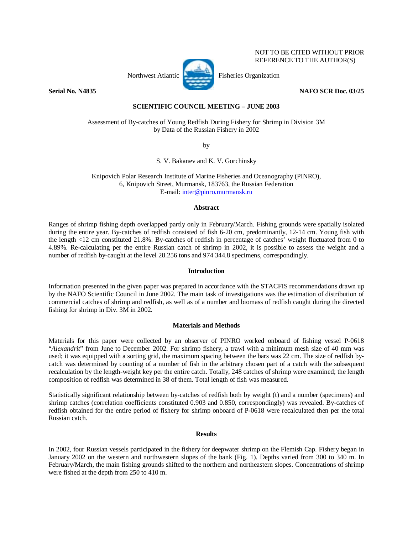# Northwest Atlantic **Fisheries** Organization

**Serial No. N4835** NAFO SCR Doc. 03/25

NOT TO BE CITED WITHOUT PRIOR REFERENCE TO THE AUTHOR(S)

# **SCIENTIFIC COUNCIL MEETING – JUNE 2003**

Assessment of By-catches of Young Redfish During Fishery for Shrimp in Division 3M by Data of the Russian Fishery in 2002

by

S. V. Bakanev and K. V. Gorchinsky

Knipovich Polar Research Institute of Marine Fisheries and Oceanography (PINRO), 6, Knipovich Street, Murmansk, 183763, the Russian Federation E-mail: inter@pinro.murmansk.ru

#### **Abstract**

Ranges of shrimp fishing depth overlapped partly only in February/March. Fishing grounds were spatially isolated during the entire year. By-catches of redfish consisted of fish 6-20 cm, predominantly, 12-14 cm. Young fish with the length <12 cm constituted 21.8%. By-catches of redfish in percentage of catches' weight fluctuated from 0 to 4.89%. Re-calculating per the entire Russian catch of shrimp in 2002, it is possible to assess the weight and a number of redfish by-caught at the level 28.256 tons and 974 344.8 specimens, correspondingly.

## **Introduction**

Information presented in the given paper was prepared in accordance with the STACFIS recommendations drawn up by the NAFO Scientific Council in June 2002. The main task of investigations was the estimation of distribution of commercial catches of shrimp and redfish, as well as of a number and biomass of redfish caught during the directed fishing for shrimp in Div. 3M in 2002.

#### **Materials and Methods**

Materials for this paper were collected by an observer of PINRO worked onboard of fishing vessel P-0618 "*Alexandrit*" from June to December 2002. For shrimp fishery, a trawl with a minimum mesh size of 40 mm was used; it was equipped with a sorting grid, the maximum spacing between the bars was 22 cm. The size of redfish bycatch was determined by counting of a number of fish in the arbitrary chosen part of a catch with the subsequent recalculation by the length-weight key per the entire catch. Totally, 248 catches of shrimp were examined; the length composition of redfish was determined in 38 of them. Total length of fish was measured.

Statistically significant relationship between by-catches of redfish both by weight (t) and a number (specimens) and shrimp catches (correlation coefficients constituted 0.903 and 0.850, correspondingly) was revealed. By-catches of redfish obtained for the entire period of fishery for shrimp onboard of P-0618 were recalculated then per the total Russian catch.

### **Results**

In 2002, four Russian vessels participated in the fishery for deepwater shrimp on the Flemish Cap. Fishery began in January 2002 on the western and northwestern slopes of the bank (Fig. 1). Depths varied from 300 to 340 m. In February/March, the main fishing grounds shifted to the northern and northeastern slopes. Concentrations of shrimp were fished at the depth from 250 to 410 m.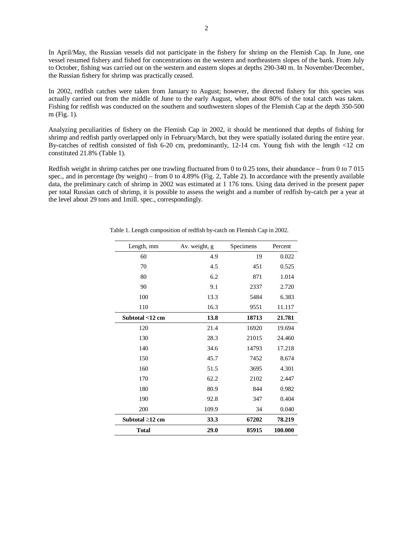In April/May, the Russian vessels did not participate in the fishery for shrimp on the Flemish Cap. In June, one vessel resumed fishery and fished for concentrations on the western and northeastern slopes of the bank. From July to October, fishing was carried out on the western and eastern slopes at depths 290-340 m. In November/December, the Russian fishery for shrimp was practically ceased.

In 2002, redfish catches were taken from January to August; however, the directed fishery for this species was actually carried out from the middle of June to the early August, when about 80% of the total catch was taken. Fishing for redfish was conducted on the southern and southwestern slopes of the Flemish Cap at the depth 350-500 m (Fig. 1).

Analyzing peculiarities of fishery on the Flemish Cap in 2002, it should be mentioned that depths of fishing for shrimp and redfish partly overlapped only in February/March, but they were spatially isolated during the entire year. By-catches of redfish consisted of fish 6-20 cm, predominantly, 12-14 cm. Young fish with the length <12 cm constituted 21.8% (Table 1).

Redfish weight in shrimp catches per one trawling fluctuated from 0 to 0.25 tons, their abundance – from 0 to 7 015 spec., and in percentage (by weight) – from 0 to 4.89% (Fig. 2, Table 2). In accordance with the presently available data, the preliminary catch of shrimp in 2002 was estimated at 1 176 tons. Using data derived in the present paper per total Russian catch of shrimp, it is possible to assess the weight and a number of redfish by-catch per a year at the level about 29 tons and 1mill. spec., correspondingly.

| Length, mm            | Av. weight, g<br>Specimens |       | Percent |
|-----------------------|----------------------------|-------|---------|
| 60                    | 4.9                        | 19    | 0.022   |
| 70                    | 4.5                        | 451   | 0.525   |
| 80                    | 6.2                        | 871   | 1.014   |
| 90                    | 9.1                        | 2337  | 2.720   |
| 100                   | 13.3                       | 5484  | 6.383   |
| 110                   | 16.3                       | 9551  | 11.117  |
| Subtotal $<$ 12 cm    | 13.8                       | 18713 | 21.781  |
| 120                   | 21.4                       | 16920 | 19.694  |
| 130                   | 28.3                       | 21015 | 24.460  |
| 140                   | 34.6                       | 14793 | 17.218  |
| 150                   | 45.7                       | 7452  | 8.674   |
| 160                   | 51.5                       | 3695  | 4.301   |
| 170                   | 62.2                       | 2102  | 2.447   |
| 180                   | 80.9                       | 844   | 0.982   |
| 190                   | 92.8                       | 347   | 0.404   |
| 200                   | 109.9                      | 34    | 0.040   |
| Subtotal $\geq$ 12 cm | 33.3                       | 67202 | 78.219  |
| <b>Total</b>          | 29.0                       | 85915 | 100.000 |

Table 1. Length composition of redfish by-catch on Flemish Cap in 2002.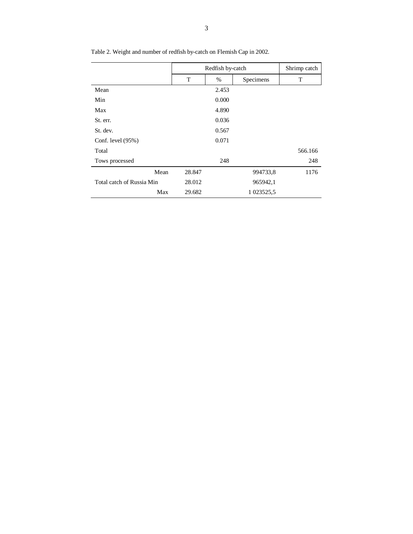|                           | Redfish by-catch |       |            | Shrimp catch |
|---------------------------|------------------|-------|------------|--------------|
|                           | T                | $\%$  | Specimens  | T            |
| Mean                      |                  | 2.453 |            |              |
| Min                       |                  | 0.000 |            |              |
| Max                       |                  | 4.890 |            |              |
| St. err.                  |                  | 0.036 |            |              |
| St. dev.                  |                  | 0.567 |            |              |
| Conf. level $(95%)$       |                  | 0.071 |            |              |
| Total                     |                  |       |            | 566.166      |
| Tows processed            |                  | 248   |            | 248          |
| Mean                      | 28.847           |       | 994733,8   | 1176         |
| Total catch of Russia Min | 28.012           |       | 965942,1   |              |
| Max                       | 29.682           |       | 1 023525,5 |              |

Table 2. Weight and number of redfish by-catch on Flemish Cap in 2002.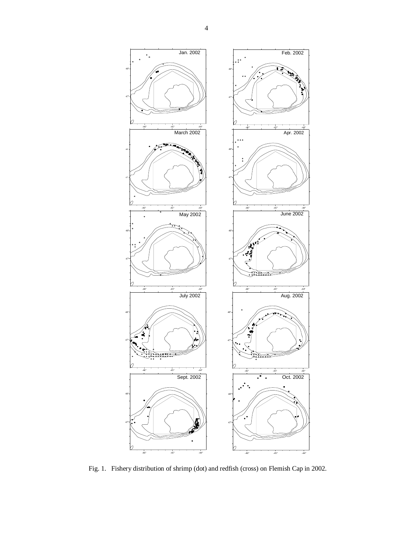

Fig. 1. Fishery distribution of shrimp (dot) and redfish (cross) on Flemish Cap in 2002.